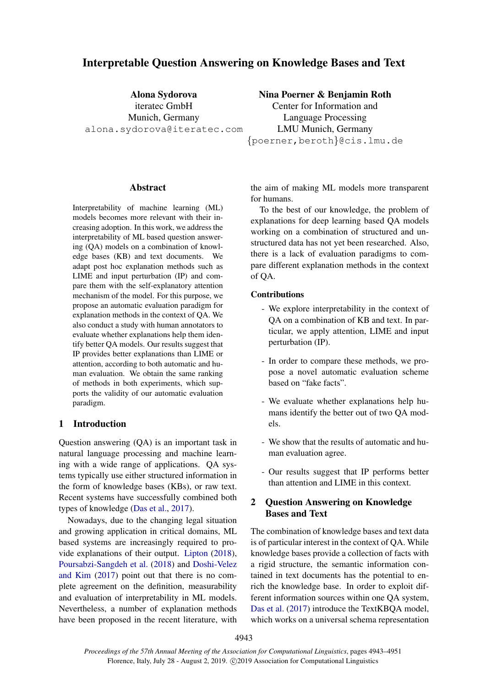# Interpretable Question Answering on Knowledge Bases and Text

Alona Sydorova iteratec GmbH Munich, Germany alona.sydorova@iteratec.com

# Nina Poerner & Benjamin Roth

Center for Information and Language Processing LMU Munich, Germany {poerner,beroth}@cis.lmu.de

## **Abstract**

Interpretability of machine learning (ML) models becomes more relevant with their increasing adoption. In this work, we address the interpretability of ML based question answering (QA) models on a combination of knowledge bases (KB) and text documents. We adapt post hoc explanation methods such as LIME and input perturbation (IP) and compare them with the self-explanatory attention mechanism of the model. For this purpose, we propose an automatic evaluation paradigm for explanation methods in the context of QA. We also conduct a study with human annotators to evaluate whether explanations help them identify better QA models. Our results suggest that IP provides better explanations than LIME or attention, according to both automatic and human evaluation. We obtain the same ranking of methods in both experiments, which supports the validity of our automatic evaluation paradigm.

# 1 Introduction

Question answering (QA) is an important task in natural language processing and machine learning with a wide range of applications. QA systems typically use either structured information in the form of knowledge bases (KBs), or raw text. Recent systems have successfully combined both types of knowledge [\(Das et al.,](#page-7-0) [2017\)](#page-7-0).

Nowadays, due to the changing legal situation and growing application in critical domains, ML based systems are increasingly required to provide explanations of their output. [Lipton](#page-7-1) [\(2018\)](#page-7-1), [Poursabzi-Sangdeh et al.](#page-8-0) [\(2018\)](#page-8-0) and [Doshi-Velez](#page-7-2) [and Kim](#page-7-2) [\(2017\)](#page-7-2) point out that there is no complete agreement on the definition, measurability and evaluation of interpretability in ML models. Nevertheless, a number of explanation methods have been proposed in the recent literature, with the aim of making ML models more transparent for humans.

To the best of our knowledge, the problem of explanations for deep learning based QA models working on a combination of structured and unstructured data has not yet been researched. Also, there is a lack of evaluation paradigms to compare different explanation methods in the context of QA.

#### Contributions

- We explore interpretability in the context of QA on a combination of KB and text. In particular, we apply attention, LIME and input perturbation (IP).
- In order to compare these methods, we propose a novel automatic evaluation scheme based on "fake facts".
- We evaluate whether explanations help humans identify the better out of two QA models.
- We show that the results of automatic and human evaluation agree.
- Our results suggest that IP performs better than attention and LIME in this context.

# 2 Question Answering on Knowledge Bases and Text

The combination of knowledge bases and text data is of particular interest in the context of QA. While knowledge bases provide a collection of facts with a rigid structure, the semantic information contained in text documents has the potential to enrich the knowledge base. In order to exploit different information sources within one QA system, [Das et al.](#page-7-0) [\(2017\)](#page-7-0) introduce the TextKBQA model, which works on a universal schema representation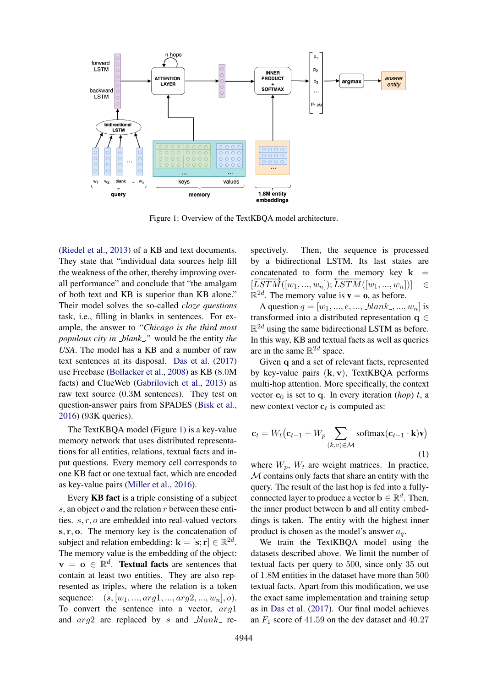<span id="page-1-0"></span>

Figure 1: Overview of the TextKBQA model architecture.

[\(Riedel et al.,](#page-8-1) [2013\)](#page-8-1) of a KB and text documents. They state that "individual data sources help fill the weakness of the other, thereby improving overall performance" and conclude that "the amalgam of both text and KB is superior than KB alone." Their model solves the so-called *cloze questions* task, i.e., filling in blanks in sentences. For example, the answer to *"Chicago is the third most populous city in blank ."* would be the entity *the USA*. The model has a KB and a number of raw text sentences at its disposal. [Das et al.](#page-7-0) [\(2017\)](#page-7-0) use Freebase [\(Bollacker et al.,](#page-7-3) [2008\)](#page-7-3) as KB (8.0M facts) and ClueWeb [\(Gabrilovich et al.,](#page-7-4) [2013\)](#page-7-4) as raw text source (0.3M sentences). They test on question-answer pairs from SPADES [\(Bisk et al.,](#page-7-5) [2016\)](#page-7-5) (93K queries).

The TextKBQA model (Figure [1\)](#page-1-0) is a key-value memory network that uses distributed representations for all entities, relations, textual facts and input questions. Every memory cell corresponds to one KB fact or one textual fact, which are encoded as key-value pairs [\(Miller et al.,](#page-7-6) [2016\)](#page-7-6).

Every KB fact is a triple consisting of a subject s, an object  $o$  and the relation  $r$  between these entities. s, r, o are embedded into real-valued vectors  $s, r, o$ . The memory key is the concatenation of subject and relation embedding:  $\mathbf{k} = [\mathbf{s}; \mathbf{r}] \in \mathbb{R}^{2d}$ . The memory value is the embedding of the object:  $\mathbf{v} = \mathbf{o} \in \mathbb{R}^d$ . Textual facts are sentences that contain at least two entities. They are also represented as triples, where the relation is a token sequence:  $(s, [w_1, ..., arg_1, ..., arg_2, ..., w_n], o)$ . To convert the sentence into a vector, arg1 and  $arg2$  are replaced by s and  $blank$  re-

spectively. Then, the sequence is processed by a bidirectional LSTM. Its last states are concatenated to form the memory key  $k$  $\frac{1}{[LSTM}([w_1, ..., w_n]); \frac{1}{LSTM}([w_1, ..., w_n])]$  $\mathbb{R}^{2d}$ . The memory value is  $\mathbf{v} = \mathbf{0}$ , as before.

A question  $q = [w_1, ..., e, ..., blank_-, ..., w_n]$  is transformed into a distributed representation  $q \in$  $\mathbb{R}^{2d}$  using the same bidirectional LSTM as before. In this way, KB and textual facts as well as queries are in the same  $\mathbb{R}^{2d}$  space.

Given q and a set of relevant facts, represented by key-value pairs  $(k, v)$ . TextKBOA performs multi-hop attention. More specifically, the context vector  $\mathbf{c}_0$  is set to q. In every iteration (*hop*) t, a new context vector  $\mathbf{c}_t$  is computed as:

$$
\mathbf{c}_{t} = W_{t}(\mathbf{c}_{t-1} + W_{p} \sum_{(k,v) \in \mathcal{M}} \text{softmax}(\mathbf{c}_{t-1} \cdot \mathbf{k}) \mathbf{v})
$$
\n(1)

where  $W_p$ ,  $W_t$  are weight matrices. In practice,  $M$  contains only facts that share an entity with the query. The result of the last hop is fed into a fullyconnected layer to produce a vector  $\mathbf{b} \in \mathbb{R}^d$ . Then, the inner product between b and all entity embeddings is taken. The entity with the highest inner product is chosen as the model's answer  $a_{\alpha}$ .

We train the TextKBQA model using the datasets described above. We limit the number of textual facts per query to 500, since only 35 out of 1.8M entities in the dataset have more than 500 textual facts. Apart from this modification, we use the exact same implementation and training setup as in [Das et al.](#page-7-0) [\(2017\)](#page-7-0). Our final model achieves an  $F_1$  score of 41.59 on the dev dataset and 40.27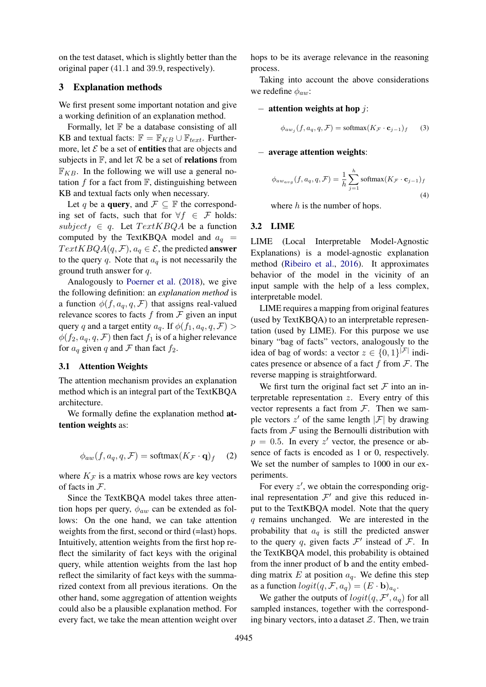on the test dataset, which is slightly better than the original paper (41.1 and 39.9, respectively).

#### 3 Explanation methods

We first present some important notation and give a working definition of an explanation method.

Formally, let  $F$  be a database consisting of all KB and textual facts:  $\mathbb{F} = \mathbb{F}_{KB} \cup \mathbb{F}_{text}$ . Furthermore, let  $\mathcal E$  be a set of **entities** that are objects and subjects in  $\mathbb{F}$ , and let  $\mathcal{R}$  be a set of **relations** from  $\mathbb{F}_{KB}$ . In the following we will use a general notation  $f$  for a fact from  $\mathbb{F}$ , distinguishing between KB and textual facts only when necessary.

Let q be a **query**, and  $\mathcal{F} \subseteq \mathbb{F}$  the corresponding set of facts, such that for  $\forall f \in \mathcal{F}$  holds:  $subject_f \in q$ . Let  $TextKBQA$  be a function computed by the TextKBQA model and  $a_q$  =  $TextKBQA(q, \mathcal{F}), a_q \in \mathcal{E}$ , the predicted answer to the query q. Note that  $a_q$  is not necessarily the ground truth answer for q.

Analogously to [Poerner et al.](#page-8-2) [\(2018\)](#page-8-2), we give the following definition: an *explanation method* is a function  $\phi(f, a_q, q, \mathcal{F})$  that assigns real-valued relevance scores to facts  $f$  from  $\mathcal F$  given an input query q and a target entity  $a_q$ . If  $\phi(f_1, a_q, q, \mathcal{F})$  $\phi(f_2, a_q, q, \mathcal{F})$  then fact  $f_1$  is of a higher relevance for  $a_q$  given q and F than fact  $f_2$ .

#### 3.1 Attention Weights

The attention mechanism provides an explanation method which is an integral part of the TextKBQA architecture.

We formally define the explanation method attention weights as:

$$
\phi_{aw}(f, a_q, q, \mathcal{F}) = \text{softmax}(K_{\mathcal{F}} \cdot \mathbf{q})_f \quad (2)
$$

where  $K_F$  is a matrix whose rows are key vectors of facts in  $\mathcal{F}$ .

Since the TextKBQA model takes three attention hops per query,  $\phi_{aw}$  can be extended as follows: On the one hand, we can take attention weights from the first, second or third (=last) hops. Intuitively, attention weights from the first hop reflect the similarity of fact keys with the original query, while attention weights from the last hop reflect the similarity of fact keys with the summarized context from all previous iterations. On the other hand, some aggregation of attention weights could also be a plausible explanation method. For every fact, we take the mean attention weight over

hops to be its average relevance in the reasoning process.

Taking into account the above considerations we redefine  $\phi_{aw}$ :

### $-$  attention weights at hop *:*

$$
\phi_{aw_j}(f, a_q, q, \mathcal{F}) = \text{softmax}(K_{\mathcal{F}} \cdot \mathbf{c}_{j-1})_f \qquad (3)
$$

#### − average attention weights:

$$
\phi_{aw_{avg}}(f, a_q, q, \mathcal{F}) = \frac{1}{h} \sum_{j=1}^{h} \text{softmax}(K_{\mathcal{F}} \cdot \mathbf{c}_{j-1})_f
$$
\n(4)

where  $h$  is the number of hops.

## 3.2 LIME

LIME (Local Interpretable Model-Agnostic Explanations) is a model-agnostic explanation method [\(Ribeiro et al.,](#page-8-3) [2016\)](#page-8-3). It approximates behavior of the model in the vicinity of an input sample with the help of a less complex, interpretable model.

LIME requires a mapping from original features (used by TextKBQA) to an interpretable representation (used by LIME). For this purpose we use binary "bag of facts" vectors, analogously to the idea of bag of words: a vector  $z \in \{0,1\}^{|\mathcal{F}|}$  indicates presence or absence of a fact f from  $\mathcal{F}$ . The reverse mapping is straightforward.

We first turn the original fact set  $\mathcal F$  into an interpretable representation  $z$ . Every entry of this vector represents a fact from  $F$ . Then we sample vectors  $z'$  of the same length  $|\mathcal{F}|$  by drawing facts from  $F$  using the Bernoulli distribution with  $p = 0.5$ . In every z' vector, the presence or absence of facts is encoded as 1 or 0, respectively. We set the number of samples to 1000 in our experiments.

For every  $z'$ , we obtain the corresponding original representation  $\mathcal{F}'$  and give this reduced input to the TextKBQA model. Note that the query q remains unchanged. We are interested in the probability that  $a_q$  is still the predicted answer to the query q, given facts  $\mathcal{F}'$  instead of  $\mathcal{F}$ . In the TextKBQA model, this probability is obtained from the inner product of b and the entity embedding matrix  $E$  at position  $a_q$ . We define this step as a function  $logit(q, \mathcal{F}, a_q) = (E \cdot \mathbf{b})_{aq}$ .

We gather the outputs of  $logit(q, \mathcal{F}', a_q)$  for all sampled instances, together with the corresponding binary vectors, into a dataset  $Z$ . Then, we train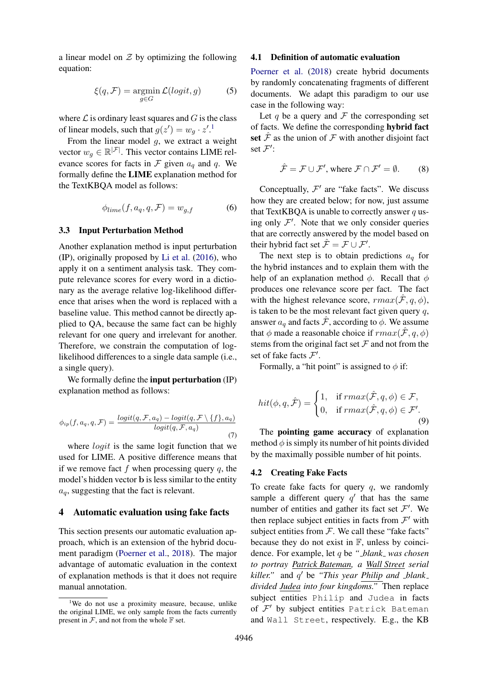a linear model on  $Z$  by optimizing the following equation:

$$
\xi(q, \mathcal{F}) = \operatorname*{argmin}_{g \in G} \mathcal{L}(logit, g) \tag{5}
$$

where  $\mathcal L$  is ordinary least squares and  $G$  is the class of linear models, such that  $g(z') = w_g \cdot z'.^1$  $g(z') = w_g \cdot z'.^1$ 

From the linear model  $g$ , we extract a weight vector  $w_g \in \mathbb{R}^{|\mathcal{F}|}$ . This vector contains LIME relevance scores for facts in  $\mathcal F$  given  $a_q$  and  $q$ . We formally define the LIME explanation method for the TextKBQA model as follows:

$$
\phi_{lime}(f, a_q, q, \mathcal{F}) = w_{g,f} \tag{6}
$$

#### 3.3 Input Perturbation Method

Another explanation method is input perturbation (IP), originally proposed by [Li et al.](#page-7-7) [\(2016\)](#page-7-7), who apply it on a sentiment analysis task. They compute relevance scores for every word in a dictionary as the average relative log-likelihood difference that arises when the word is replaced with a baseline value. This method cannot be directly applied to QA, because the same fact can be highly relevant for one query and irrelevant for another. Therefore, we constrain the computation of loglikelihood differences to a single data sample (i.e., a single query).

We formally define the **input perturbation** (IP) explanation method as follows:

$$
\phi_{ip}(f, a_q, q, \mathcal{F}) = \frac{logit(q, \mathcal{F}, a_q) - logit(q, \mathcal{F} \setminus \{f\}, a_q)}{logit(q, \mathcal{F}, a_q)}
$$
(7)

where *logit* is the same logit function that we used for LIME. A positive difference means that if we remove fact f when processing query  $q$ , the model's hidden vector b is less similar to the entity  $a_q$ , suggesting that the fact is relevant.

#### 4 Automatic evaluation using fake facts

This section presents our automatic evaluation approach, which is an extension of the hybrid document paradigm [\(Poerner et al.,](#page-8-2) [2018\)](#page-8-2). The major advantage of automatic evaluation in the context of explanation methods is that it does not require manual annotation.

#### 4.1 Definition of automatic evaluation

[Poerner et al.](#page-8-2) [\(2018\)](#page-8-2) create hybrid documents by randomly concatenating fragments of different documents. We adapt this paradigm to our use case in the following way:

Let q be a query and  $\mathcal F$  the corresponding set of facts. We define the corresponding hybrid fact set  $\hat{\mathcal{F}}$  as the union of  $\mathcal F$  with another disjoint fact set  $\mathcal{F}'$ :

$$
\hat{\mathcal{F}} = \mathcal{F} \cup \mathcal{F}', \text{ where } \mathcal{F} \cap \mathcal{F}' = \emptyset. \qquad (8)
$$

Conceptually,  $\mathcal{F}'$  are "fake facts". We discuss how they are created below; for now, just assume that TextKBQA is unable to correctly answer  $q$  using only  $\mathcal{F}'$ . Note that we only consider queries that are correctly answered by the model based on their hybrid fact set  $\hat{\mathcal{F}} = \mathcal{F} \cup \mathcal{F}'$ .

The next step is to obtain predictions  $a<sub>q</sub>$  for the hybrid instances and to explain them with the help of an explanation method  $\phi$ . Recall that  $\phi$ produces one relevance score per fact. The fact with the highest relevance score,  $rmax(\hat{F}, q, \phi)$ , is taken to be the most relevant fact given query  $q$ , answer  $a_q$  and facts  $\hat{\mathcal{F}}$ , according to  $\phi$ . We assume that  $\phi$  made a reasonable choice if  $rmax(\hat{F}, q, \phi)$ stems from the original fact set  $\mathcal F$  and not from the set of fake facts  $\mathcal{F}'$ .

Formally, a "hit point" is assigned to  $\phi$  if:

$$
hit(\phi, q, \hat{\mathcal{F}}) = \begin{cases} 1, & \text{if } rmax(\hat{\mathcal{F}}, q, \phi) \in \mathcal{F}, \\ 0, & \text{if } rmax(\hat{\mathcal{F}}, q, \phi) \in \mathcal{F}'. \end{cases}
$$
(9)

The pointing game accuracy of explanation method  $\phi$  is simply its number of hit points divided by the maximally possible number of hit points.

#### 4.2 Creating Fake Facts

To create fake facts for query  $q$ , we randomly sample a different query  $q'$  that has the same number of entities and gather its fact set  $\mathcal{F}'$ . We then replace subject entities in facts from  $\mathcal{F}'$  with subject entities from  $F$ . We call these "fake facts" because they do not exist in  $\mathbb{F}$ , unless by coincidence. For example, let q be *" blank was chosen to portray Patrick Bateman, a Wall Street serial killer."* and q <sup>0</sup> be *"This year Philip and blank divided Judea into four kingdoms."* Then replace subject entities Philip and Judea in facts of  $\mathcal{F}'$  by subject entities Patrick Bateman and Wall Street, respectively. E.g., the KB

<span id="page-3-0"></span><sup>&</sup>lt;sup>1</sup>We do not use a proximity measure, because, unlike the original LIME, we only sample from the facts currently present in  $F$ , and not from the whole  $F$  set.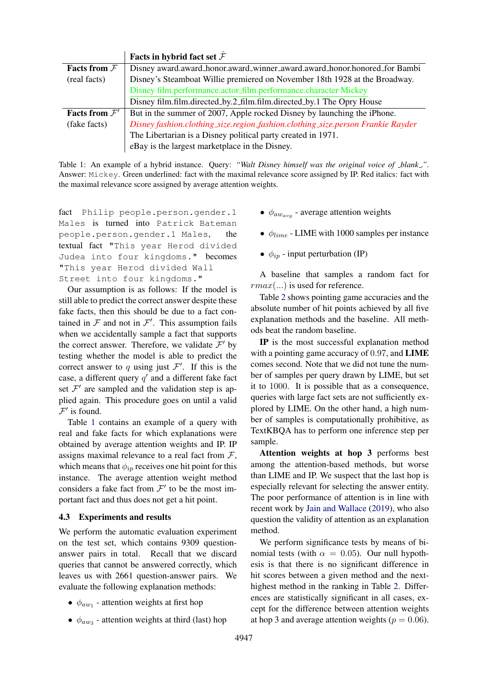<span id="page-4-0"></span>

|                                  | Facts in hybrid fact set $\hat{\mathcal{F}}$                                    |  |
|----------------------------------|---------------------------------------------------------------------------------|--|
| <b>Facts from <math>F</math></b> | Disney award.award_honor.award_winner_award.award_honor.honored_for Bambi       |  |
| (real facts)                     | Disney's Steamboat Willie premiered on November 18th 1928 at the Broadway.      |  |
|                                  | Disney film.performance.actor_film.performance.character Mickey                 |  |
|                                  | Disney film.film.directed_by.2_film.film.directed_by.1 The Opry House           |  |
| Facts from $\mathcal{F}'$        | But in the summer of 2007, Apple rocked Disney by launching the iPhone.         |  |
| (fake facts)                     | Disney fashion.clothing_size.region_fashion.clothing_size.person Frankie Rayder |  |
|                                  | The Libertarian is a Disney political party created in 1971.                    |  |
|                                  | eBay is the largest marketplace in the Disney.                                  |  |

Table 1: An example of a hybrid instance. Query: *"Walt Disney himself was the original voice of blank ."*. Answer: Mickey. Green underlined: fact with the maximal relevance score assigned by IP. Red italics: fact with the maximal relevance score assigned by average attention weights.

fact Philip people.person.gender.1 Males is turned into Patrick Bateman people.person.gender.1 Males, the textual fact "This year Herod divided Judea into four kingdoms." becomes "This year Herod divided Wall Street into four kingdoms."

Our assumption is as follows: If the model is still able to predict the correct answer despite these fake facts, then this should be due to a fact contained in  $\mathcal F$  and not in  $\mathcal F'$ . This assumption fails when we accidentally sample a fact that supports the correct answer. Therefore, we validate  $\mathcal{F}'$  by testing whether the model is able to predict the correct answer to q using just  $\mathcal{F}'$ . If this is the case, a different query  $q'$  and a different fake fact set  $\mathcal{F}'$  are sampled and the validation step is applied again. This procedure goes on until a valid  $\mathcal{F}'$  is found.

Table [1](#page-4-0) contains an example of a query with real and fake facts for which explanations were obtained by average attention weights and IP. IP assigns maximal relevance to a real fact from  $\mathcal{F}$ , which means that  $\phi_{ip}$  receives one hit point for this instance. The average attention weight method considers a fake fact from  $\mathcal{F}'$  to be the most important fact and thus does not get a hit point.

### 4.3 Experiments and results

We perform the automatic evaluation experiment on the test set, which contains 9309 questionanswer pairs in total. Recall that we discard queries that cannot be answered correctly, which leaves us with 2661 question-answer pairs. We evaluate the following explanation methods:

- $\bullet$   $\phi_{aw_1}$  attention weights at first hop
- $\phi_{aw_3}$  attention weights at third (last) hop
- $\phi_{away}$  average attention weights
- $\phi_{line}$  LIME with 1000 samples per instance
- $\phi_{ip}$  input perturbation (IP)

A baseline that samples a random fact for  $rmax(...)$  is used for reference.

Table [2](#page-5-0) shows pointing game accuracies and the absolute number of hit points achieved by all five explanation methods and the baseline. All methods beat the random baseline.

IP is the most successful explanation method with a pointing game accuracy of 0.97, and **LIME** comes second. Note that we did not tune the number of samples per query drawn by LIME, but set it to 1000. It is possible that as a consequence, queries with large fact sets are not sufficiently explored by LIME. On the other hand, a high number of samples is computationally prohibitive, as TextKBQA has to perform one inference step per sample.

Attention weights at hop 3 performs best among the attention-based methods, but worse than LIME and IP. We suspect that the last hop is especially relevant for selecting the answer entity. The poor performance of attention is in line with recent work by [Jain and Wallace](#page-7-8) [\(2019\)](#page-7-8), who also question the validity of attention as an explanation method.

We perform significance tests by means of binomial tests (with  $\alpha = 0.05$ ). Our null hypothesis is that there is no significant difference in hit scores between a given method and the nexthighest method in the ranking in Table [2.](#page-5-0) Differences are statistically significant in all cases, except for the difference between attention weights at hop 3 and average attention weights ( $p = 0.06$ ).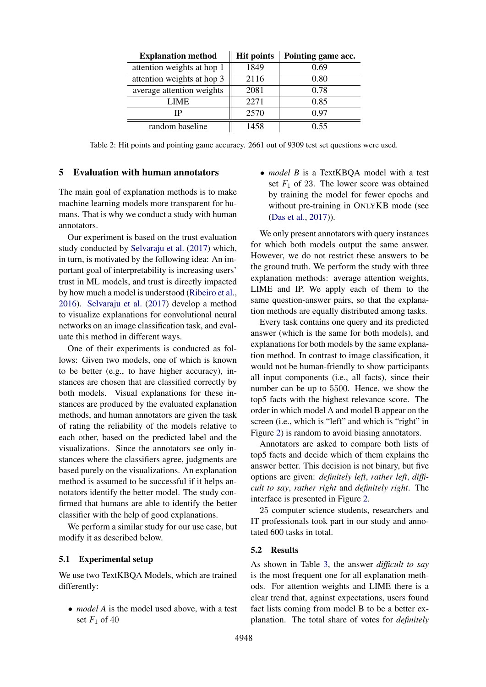<span id="page-5-0"></span>

| <b>Explanation method</b>  | <b>Hit points</b> | Pointing game acc. |
|----------------------------|-------------------|--------------------|
| attention weights at hop 1 | 1849              | 0.69               |
| attention weights at hop 3 | 2116              | 0.80               |
| average attention weights  | 2081              | 0.78               |
| LIME.                      | 2271              | 0.85               |
| ΙP                         | 2570              | 0.97               |
| random baseline            | 1458              | ი 55               |

Table 2: Hit points and pointing game accuracy. 2661 out of 9309 test set questions were used.

#### 5 Evaluation with human annotators

The main goal of explanation methods is to make machine learning models more transparent for humans. That is why we conduct a study with human annotators.

Our experiment is based on the trust evaluation study conducted by [Selvaraju et al.](#page-8-4) [\(2017\)](#page-8-4) which, in turn, is motivated by the following idea: An important goal of interpretability is increasing users' trust in ML models, and trust is directly impacted by how much a model is understood [\(Ribeiro et al.,](#page-8-3) [2016\)](#page-8-3). [Selvaraju et al.](#page-8-4) [\(2017\)](#page-8-4) develop a method to visualize explanations for convolutional neural networks on an image classification task, and evaluate this method in different ways.

One of their experiments is conducted as follows: Given two models, one of which is known to be better (e.g., to have higher accuracy), instances are chosen that are classified correctly by both models. Visual explanations for these instances are produced by the evaluated explanation methods, and human annotators are given the task of rating the reliability of the models relative to each other, based on the predicted label and the visualizations. Since the annotators see only instances where the classifiers agree, judgments are based purely on the visualizations. An explanation method is assumed to be successful if it helps annotators identify the better model. The study confirmed that humans are able to identify the better classifier with the help of good explanations.

We perform a similar study for our use case, but modify it as described below.

### 5.1 Experimental setup

We use two TextKBQA Models, which are trained differently:

• *model A* is the model used above, with a test set  $F_1$  of 40

• *model B* is a TextKBQA model with a test set  $F_1$  of 23. The lower score was obtained by training the model for fewer epochs and without pre-training in ONLYKB mode (see [\(Das et al.,](#page-7-0) [2017\)](#page-7-0)).

We only present annotators with query instances for which both models output the same answer. However, we do not restrict these answers to be the ground truth. We perform the study with three explanation methods: average attention weights, LIME and IP. We apply each of them to the same question-answer pairs, so that the explanation methods are equally distributed among tasks.

Every task contains one query and its predicted answer (which is the same for both models), and explanations for both models by the same explanation method. In contrast to image classification, it would not be human-friendly to show participants all input components (i.e., all facts), since their number can be up to 5500. Hence, we show the top5 facts with the highest relevance score. The order in which model A and model B appear on the screen (i.e., which is "left" and which is "right" in Figure [2\)](#page-6-0) is random to avoid biasing annotators.

Annotators are asked to compare both lists of top5 facts and decide which of them explains the answer better. This decision is not binary, but five options are given: *definitely left*, *rather left*, *difficult to say*, *rather right* and *definitely right*. The interface is presented in Figure [2.](#page-6-0)

25 computer science students, researchers and IT professionals took part in our study and annotated 600 tasks in total.

#### 5.2 Results

As shown in Table [3,](#page-7-9) the answer *difficult to say* is the most frequent one for all explanation methods. For attention weights and LIME there is a clear trend that, against expectations, users found fact lists coming from model B to be a better explanation. The total share of votes for *definitely*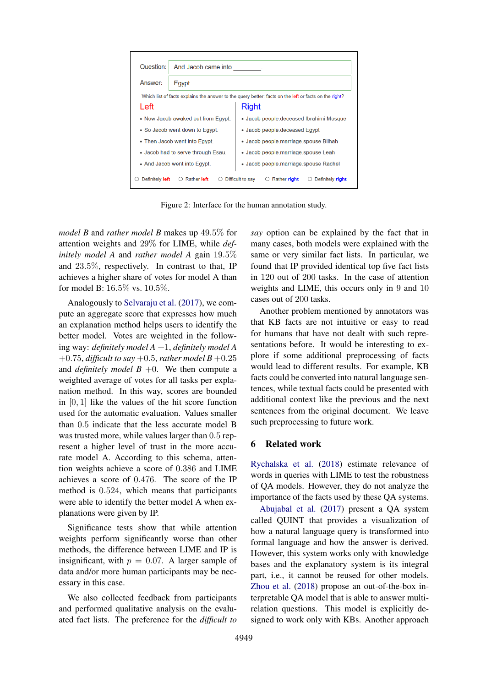<span id="page-6-0"></span>

| Question:                                                                                             | And Jacob came into |                                                      |  |  |  |
|-------------------------------------------------------------------------------------------------------|---------------------|------------------------------------------------------|--|--|--|
| Answer <sup>.</sup>                                                                                   | Egypt               |                                                      |  |  |  |
| Which list of facts explains the answer to the query better: facts on the left or facts on the right? |                     |                                                      |  |  |  |
| Left                                                                                                  |                     | Right                                                |  |  |  |
| • Now Jacob awaked out from Egypt.                                                                    |                     | • Jacob people deceased Ibrahimi Mosque              |  |  |  |
| • So Jacob went down to Egypt.                                                                        |                     | • Jacob people deceased Egypt                        |  |  |  |
| • Then Jacob went into Egypt.                                                                         |                     | • Jacob people marriage spouse Bilhah                |  |  |  |
| • Jacob had to serve through Esau.                                                                    |                     | • Jacob people marriage spouse Leah                  |  |  |  |
| • And Jacob went into Egypt.                                                                          |                     | · Jacob people marriage spouse Rachel                |  |  |  |
| Definitely left                                                                                       | <b>Rather left</b>  | Difficult to say<br>Rather right<br>Definitely right |  |  |  |

Figure 2: Interface for the human annotation study.

*model B* and *rather model B* makes up 49.5% for attention weights and 29% for LIME, while *definitely model A* and *rather model A* gain 19.5% and 23.5%, respectively. In contrast to that, IP achieves a higher share of votes for model A than for model B: 16.5% vs. 10.5%.

Analogously to [Selvaraju et al.](#page-8-4) [\(2017\)](#page-8-4), we compute an aggregate score that expresses how much an explanation method helps users to identify the better model. Votes are weighted in the following way: *definitely model A* +1, *definitely model A*  $+0.75$ , *difficult to say*  $+0.5$ , *rather model B*  $+0.25$ and *definitely model B* +0. We then compute a weighted average of votes for all tasks per explanation method. In this way, scores are bounded in  $[0, 1]$  like the values of the hit score function used for the automatic evaluation. Values smaller than 0.5 indicate that the less accurate model B was trusted more, while values larger than 0.5 represent a higher level of trust in the more accurate model A. According to this schema, attention weights achieve a score of 0.386 and LIME achieves a score of 0.476. The score of the IP method is 0.524, which means that participants were able to identify the better model A when explanations were given by IP.

Significance tests show that while attention weights perform significantly worse than other methods, the difference between LIME and IP is insignificant, with  $p = 0.07$ . A larger sample of data and/or more human participants may be necessary in this case.

We also collected feedback from participants and performed qualitative analysis on the evaluated fact lists. The preference for the *difficult to* *say* option can be explained by the fact that in many cases, both models were explained with the same or very similar fact lists. In particular, we found that IP provided identical top five fact lists in 120 out of 200 tasks. In the case of attention weights and LIME, this occurs only in 9 and 10 cases out of 200 tasks.

Another problem mentioned by annotators was that KB facts are not intuitive or easy to read for humans that have not dealt with such representations before. It would be interesting to explore if some additional preprocessing of facts would lead to different results. For example, KB facts could be converted into natural language sentences, while textual facts could be presented with additional context like the previous and the next sentences from the original document. We leave such preprocessing to future work.

# 6 Related work

[Rychalska et al.](#page-8-5) [\(2018\)](#page-8-5) estimate relevance of words in queries with LIME to test the robustness of QA models. However, they do not analyze the importance of the facts used by these QA systems.

[Abujabal et al.](#page-7-10) [\(2017\)](#page-7-10) present a QA system called QUINT that provides a visualization of how a natural language query is transformed into formal language and how the answer is derived. However, this system works only with knowledge bases and the explanatory system is its integral part, i.e., it cannot be reused for other models. [Zhou et al.](#page-8-6) [\(2018\)](#page-8-6) propose an out-of-the-box interpretable QA model that is able to answer multirelation questions. This model is explicitly designed to work only with KBs. Another approach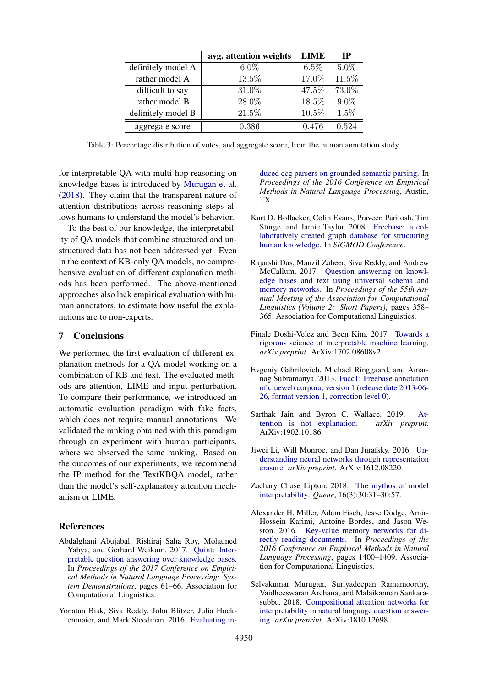<span id="page-7-9"></span>

|                    | avg. attention weights | <b>LIME</b> | <b>TP</b> |
|--------------------|------------------------|-------------|-----------|
| definitely model A | $6.0\%$                | $6.5\%$     | $5.0\%$   |
| rather model A     | 13.5%                  | 17.0%       | 11.5%     |
| difficult to say   | 31.0%                  | 47.5%       | 73.0%     |
| rather model B     | 28.0%                  | 18.5%       | $9.0\%$   |
| definitely model B | 21.5%                  | $10.5\%$    | $1.5\%$   |
| aggregate score    | 0.386                  | 0.476       | 0.524     |

Table 3: Percentage distribution of votes, and aggregate score, from the human annotation study.

for interpretable QA with multi-hop reasoning on knowledge bases is introduced by [Murugan et al.](#page-7-11) [\(2018\)](#page-7-11). They claim that the transparent nature of attention distributions across reasoning steps allows humans to understand the model's behavior.

To the best of our knowledge, the interpretability of QA models that combine structured and unstructured data has not been addressed yet. Even in the context of KB-only QA models, no comprehensive evaluation of different explanation methods has been performed. The above-mentioned approaches also lack empirical evaluation with human annotators, to estimate how useful the explanations are to non-experts.

# 7 Conclusions

We performed the first evaluation of different explanation methods for a QA model working on a combination of KB and text. The evaluated methods are attention, LIME and input perturbation. To compare their performance, we introduced an automatic evaluation paradigm with fake facts, which does not require manual annotations. We validated the ranking obtained with this paradigm through an experiment with human participants, where we observed the same ranking. Based on the outcomes of our experiments, we recommend the IP method for the TextKBQA model, rather than the model's self-explanatory attention mechanism or LIME.

#### References

- <span id="page-7-10"></span>Abdalghani Abujabal, Rishiraj Saha Roy, Mohamed Yahya, and Gerhard Weikum. 2017. [Quint: Inter](https://doi.org/10.18653/v1/D17-2011)[pretable question answering over knowledge bases.](https://doi.org/10.18653/v1/D17-2011) In *Proceedings of the 2017 Conference on Empirical Methods in Natural Language Processing: System Demonstrations*, pages 61–66. Association for Computational Linguistics.
- <span id="page-7-5"></span>Yonatan Bisk, Siva Reddy, John Blitzer, Julia Hockenmaier, and Mark Steedman. 2016. [Evaluating in-](https://doi.org/https://doi.org/10.18653/v1/d16-1214)

[duced ccg parsers on grounded semantic parsing.](https://doi.org/https://doi.org/10.18653/v1/d16-1214) In *Proceedings of the 2016 Conference on Empirical Methods in Natural Language Processing*, Austin, TX.

- <span id="page-7-3"></span>Kurt D. Bollacker, Colin Evans, Praveen Paritosh, Tim Sturge, and Jamie Taylor. 2008. [Freebase: a col](https://doi.org/https://doi.org/10.1145/1376616.1376746)[laboratively created graph database for structuring](https://doi.org/https://doi.org/10.1145/1376616.1376746) [human knowledge.](https://doi.org/https://doi.org/10.1145/1376616.1376746) In *SIGMOD Conference*.
- <span id="page-7-0"></span>Rajarshi Das, Manzil Zaheer, Siva Reddy, and Andrew McCallum. 2017. [Question answering on knowl](https://doi.org/10.18653/v1/P17-2057)[edge bases and text using universal schema and](https://doi.org/10.18653/v1/P17-2057) [memory networks.](https://doi.org/10.18653/v1/P17-2057) In *Proceedings of the 55th Annual Meeting of the Association for Computational Linguistics (Volume 2: Short Papers)*, pages 358– 365. Association for Computational Linguistics.
- <span id="page-7-2"></span>Finale Doshi-Velez and Been Kim. 2017. [Towards a](https://arxiv.org/abs/1702.08608) [rigorous science of interpretable machine learning.](https://arxiv.org/abs/1702.08608) *arXiv preprint*. ArXiv:1702.08608v2.
- <span id="page-7-4"></span>Evgeniy Gabrilovich, Michael Ringgaard, and Amarnag Subramanya. 2013. [Facc1: Freebase annotation](https://lemurproject.org/clueweb09/) [of clueweb corpora, version 1 \(release date 2013-06-](https://lemurproject.org/clueweb09/) [26, format version 1, correction level 0\).](https://lemurproject.org/clueweb09/)
- <span id="page-7-8"></span>Sarthak Jain and Byron C. Wallace. 2019. Attached and is not explanation. *arXiv preprint*. [tention is not explanation.](http://arxiv.org/abs/1902.10186) ArXiv:1902.10186.
- <span id="page-7-7"></span>Jiwei Li, Will Monroe, and Dan Jurafsky. 2016. [Un](http://arxiv.org/abs/1612.08220)[derstanding neural networks through representation](http://arxiv.org/abs/1612.08220) [erasure.](http://arxiv.org/abs/1612.08220) *arXiv preprint*. ArXiv:1612.08220.
- <span id="page-7-1"></span>Zachary Chase Lipton. 2018. [The mythos of model](https://doi.org/10.1145/3236386.3241340) [interpretability.](https://doi.org/10.1145/3236386.3241340) *Queue*, 16(3):30:31–30:57.
- <span id="page-7-6"></span>Alexander H. Miller, Adam Fisch, Jesse Dodge, Amir-Hossein Karimi, Antoine Bordes, and Jason Weston. 2016. [Key-value memory networks for di](https://doi.org/10.18653/v1/D16-1147)[rectly reading documents.](https://doi.org/10.18653/v1/D16-1147) In *Proceedings of the 2016 Conference on Empirical Methods in Natural Language Processing*, pages 1400–1409. Association for Computational Linguistics.
- <span id="page-7-11"></span>Selvakumar Murugan, Suriyadeepan Ramamoorthy, Vaidheeswaran Archana, and Malaikannan Sankarasubbu. 2018. [Compositional attention networks for](https://arxiv.org/abs/1810.12698) [interpretability in natural language question answer](https://arxiv.org/abs/1810.12698)[ing.](https://arxiv.org/abs/1810.12698) *arXiv preprint*. ArXiv:1810.12698.